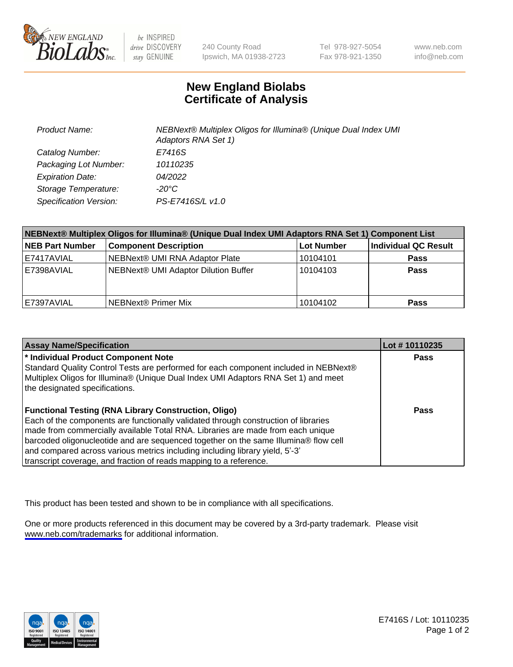

be INSPIRED drive DISCOVERY stay GENUINE

240 County Road Ipswich, MA 01938-2723 Tel 978-927-5054 Fax 978-921-1350

www.neb.com info@neb.com

## **New England Biolabs Certificate of Analysis**

| <b>Product Name:</b>    | NEBNext® Multiplex Oligos for Illumina® (Unique Dual Index UMI<br>Adaptors RNA Set 1) |
|-------------------------|---------------------------------------------------------------------------------------|
| Catalog Number:         | E7416S                                                                                |
| Packaging Lot Number:   | 10110235                                                                              |
| <b>Expiration Date:</b> | <i>04/2022</i>                                                                        |
| Storage Temperature:    | -20°C                                                                                 |
| Specification Version:  | PS-E7416S/L v1.0                                                                      |

| NEBNext® Multiplex Oligos for Illumina® (Unique Dual Index UMI Adaptors RNA Set 1) Component List |                                      |            |                      |  |
|---------------------------------------------------------------------------------------------------|--------------------------------------|------------|----------------------|--|
| <b>NEB Part Number</b>                                                                            | <b>Component Description</b>         | Lot Number | Individual QC Result |  |
| E7417AVIAL                                                                                        | NEBNext® UMI RNA Adaptor Plate       | 10104101   | <b>Pass</b>          |  |
| E7398AVIAL                                                                                        | NEBNext® UMI Adaptor Dilution Buffer | 10104103   | <b>Pass</b>          |  |
| E7397AVIAL                                                                                        | NEBNext® Primer Mix                  | 10104102   | <b>Pass</b>          |  |

| <b>Assay Name/Specification</b>                                                      | Lot #10110235 |
|--------------------------------------------------------------------------------------|---------------|
| * Individual Product Component Note                                                  | <b>Pass</b>   |
| Standard Quality Control Tests are performed for each component included in NEBNext® |               |
| Multiplex Oligos for Illumina® (Unique Dual Index UMI Adaptors RNA Set 1) and meet   |               |
| the designated specifications.                                                       |               |
|                                                                                      |               |
| <b>Functional Testing (RNA Library Construction, Oligo)</b>                          | Pass          |
| Each of the components are functionally validated through construction of libraries  |               |
| made from commercially available Total RNA. Libraries are made from each unique      |               |
| barcoded oligonucleotide and are sequenced together on the same Illumina® flow cell  |               |
| and compared across various metrics including including library yield, 5'-3'         |               |
| transcript coverage, and fraction of reads mapping to a reference.                   |               |

This product has been tested and shown to be in compliance with all specifications.

One or more products referenced in this document may be covered by a 3rd-party trademark. Please visit <www.neb.com/trademarks>for additional information.